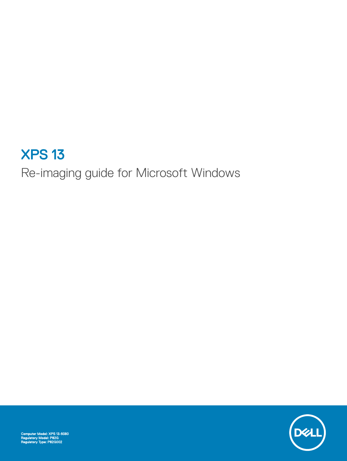# XPS 13

Re-imaging guide for Microsoft Windows

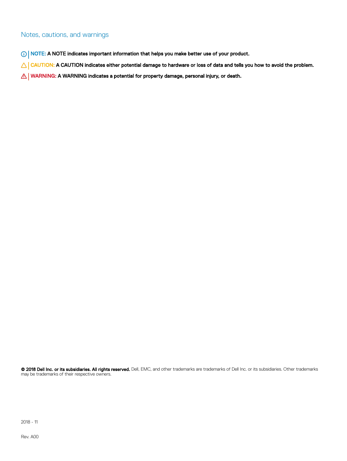#### Notes, cautions, and warnings

- NOTE: A NOTE indicates important information that helps you make better use of your product.
- △ CAUTION: A CAUTION indicates either potential damage to hardware or loss of data and tells you how to avoid the problem.
- **A WARNING: A WARNING indicates a potential for property damage, personal injury, or death.**

© 2018 Dell Inc. or its subsidiaries. All rights reserved. Dell, EMC, and other trademarks are trademarks of Dell Inc. or its subsidiaries. Other trademarks may be trademarks of their respective owners.

2018 - 11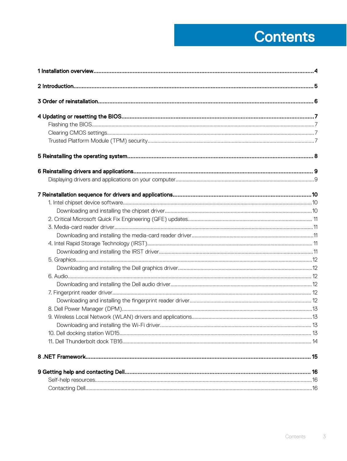# **Contents**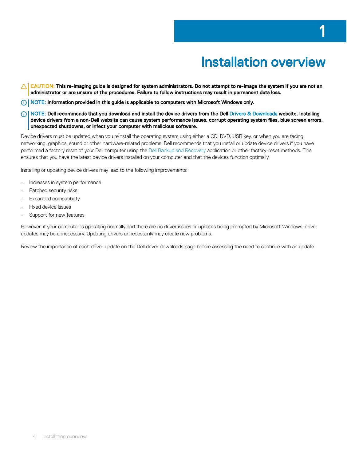- <span id="page-3-0"></span>CAUTION: This re-imaging guide is designed for system administrators. Do not attempt to re-image the system if you are not an  $\Delta$ l administrator or are unsure of the procedures. Failure to follow instructions may result in permanent data loss.
- NOTE: Information provided in this guide is applicable to computers with Microsoft Windows only.
- നി NOTE: Dell recommends that you download and install the device drivers from the Dell [Drivers & Downloads](http://www.dell.com/support/drivers) website. Installing device drivers from a non-Dell website can cause system performance issues, corrupt operating system files, blue screen errors, unexpected shutdowns, or infect your computer with malicious software.

Device drivers must be updated when you reinstall the operating system using either a CD, DVD, USB key, or when you are facing networking, graphics, sound or other hardware-related problems. Dell recommends that you install or update device drivers if you have performed a factory reset of your Dell computer using the [Dell Backup and Recovery](http://www.dell.com/support/contents/us/en/04/article/product-support/self-support-knowledgebase/software-and-downloads/dell-backup-solutions/Dell-Backup-and-Recovery) application or other factory-reset methods. This ensures that you have the latest device drivers installed on your computer and that the devices function optimally.

Installing or updating device drivers may lead to the following improvements:

- Increases in system performance
- Patched security risks
- Expanded compatibility
- Fixed device issues
- Support for new features

However, if your computer is operating normally and there are no driver issues or updates being prompted by Microsoft Windows, driver updates may be unnecessary. Updating drivers unnecessarily may create new problems.

Review the importance of each driver update on the Dell driver downloads page before assessing the need to continue with an update.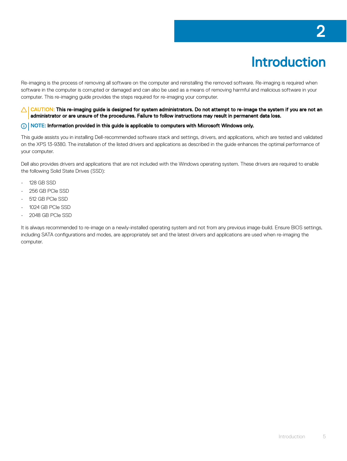# Introduction

<span id="page-4-0"></span>Re-imaging is the process of removing all software on the computer and reinstalling the removed software. Re-imaging is required when software in the computer is corrupted or damaged and can also be used as a means of removing harmful and malicious software in your computer. This re-imaging guide provides the steps required for re-imaging your computer.

CAUTION: This re-imaging guide is designed for system administrators. Do not attempt to re-image the system if you are not an  $\triangle$ administrator or are unsure of the procedures. Failure to follow instructions may result in permanent data loss.

#### NOTE: Information provided in this guide is applicable to computers with Microsoft Windows only.

This guide assists you in installing Dell-recommended software stack and settings, drivers, and applications, which are tested and validated on the XPS 13-9380. The installation of the listed drivers and applications as described in the guide enhances the optimal performance of your computer.

Dell also provides drivers and applications that are not included with the Windows operating system. These drivers are required to enable the following Solid State Drives (SSD):

- 128 GB SSD
- 256 GB PCIe SSD
- 512 GB PCIe SSD
- 1024 GB PCIe SSD
- 2048 GB PCIe SSD

It is always recommended to re-image on a newly-installed operating system and not from any previous image-build. Ensure BIOS settings, including SATA configurations and modes, are appropriately set and the latest drivers and applications are used when re-imaging the computer.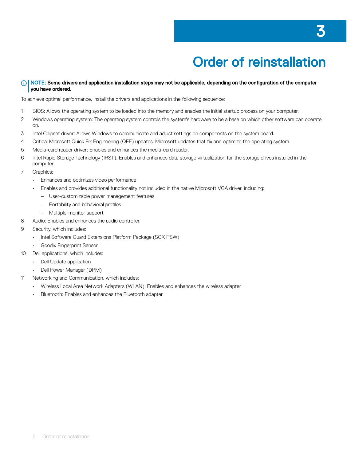# Order of reinstallation

#### <span id="page-5-0"></span>(i) NOTE: Some drivers and application installation steps may not be applicable, depending on the configuration of the computer you have ordered.

To achieve optimal performance, install the drivers and applications in the following sequence:

- 1 BIOS: Allows the operating system to be loaded into the memory and enables the initial startup process on your computer.
- 2 Windows operating system: The operating system controls the system's hardware to be a base on which other software can operate on.
- 3 Intel Chipset driver: Allows Windows to communicate and adjust settings on components on the system board.
- 4 Critical Microsoft Quick Fix Engineering (QFE) updates: Microsoft updates that fix and optimize the operating system.
- 5 Media-card reader driver: Enables and enhances the media-card reader.
- 6 Intel Rapid Storage Technology (IRST): Enables and enhances data storage virtualization for the storage drives installed in the computer.
- 7 Graphics:
	- Enhances and optimizes video performance
	- Enables and provides additional functionality not included in the native Microsoft VGA driver, including:
		- User-customizable power management features
		- $-$  Portability and behavioral profiles
		- Multiple-monitor support
- 8 Audio: Enables and enhances the audio controller.
- 9 Security, which includes:
	- Intel Software Guard Extensions Platform Package (SGX PSW)
	- Goodix Fingerprint Sensor
- 10 Dell applications, which includes:
	- Dell Update application
	- Dell Power Manager (DPM)
- 11 Networking and Communication, which includes:
	- Wireless Local Area Network Adapters (WLAN): Enables and enhances the wireless adapter
	- Bluetooth: Enables and enhances the Bluetooth adapter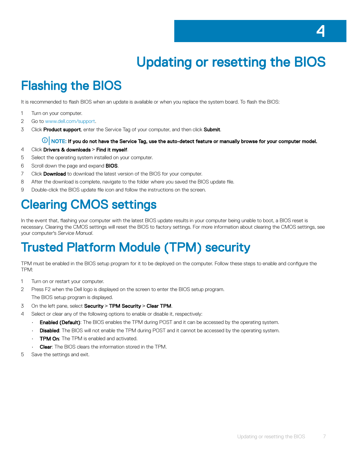# Updating or resetting the BIOS

## <span id="page-6-0"></span>Flashing the BIOS

It is recommended to flash BIOS when an update is available or when you replace the system board. To flash the BIOS:

- 1 Turn on your computer.
- 2 Go to [www.dell.com/support.](http://www.dell.com/support)
- 3 Click **Product support**, enter the Service Tag of your computer, and then click **Submit.**

#### $\textcircled{\scriptsize{1}}$  NOTE: If you do not have the Service Tag, use the auto-detect feature or manually browse for your computer model.

- 4 Click Drivers & downloads **>** Find it myself.
- 5 Select the operating system installed on your computer.
- 6 Scroll down the page and expand **BIOS**.
- 7 Click Download to download the latest version of the BIOS for your computer.
- 8 After the download is complete, navigate to the folder where you saved the BIOS update file.
- 9 Double-click the BIOS update file icon and follow the instructions on the screen.

## Clearing CMOS settings

In the event that, flashing your computer with the latest BIOS update results in your computer being unable to boot, a BIOS reset is necessary. Clearing the CMOS settings will reset the BIOS to factory settings. For more information about clearing the CMOS settings, see your computer's *Service Manual*.

## Trusted Platform Module (TPM) security

TPM must be enabled in the BIOS setup program for it to be deployed on the computer. Follow these steps to enable and congure the TPM:

- 1 Turn on or restart your computer.
- 2 Press F2 when the Dell logo is displayed on the screen to enter the BIOS setup program. The BIOS setup program is displayed.
- 3 On the left pane, select Security **>** TPM Security **>** Clear TPM.
- 4 Select or clear any of the following options to enable or disable it, respectively:
	- **Enabled (Default)**: The BIOS enables the TPM during POST and it can be accessed by the operating system.
	- **Disabled**: The BIOS will not enable the TPM during POST and it cannot be accessed by the operating system.
	- **TPM On:** The TPM is enabled and activated.
	- **Clear:** The BIOS clears the information stored in the TPM.
- 5 Save the settings and exit.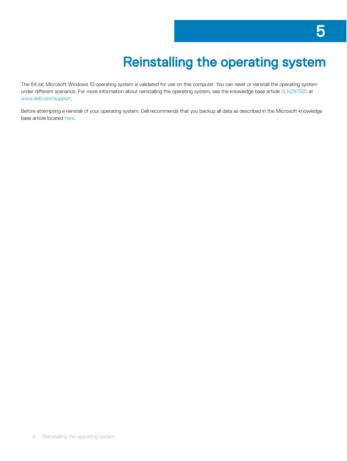# Reinstalling the operating system

<span id="page-7-0"></span>The 64-bit Microsoft Windows 10 operating system is validated for use on this computer. You can reset or reinstall the operating system under different scenarios. For more information about reinstalling the operating system, see the knowledge base article [SLN297920](http://www.dell.com/support/article/us/en/04/sln297920/reset-or-reinstall-windows-10-on-your-dell-computer?lang=en) at [www.dell.com/support.](http://www.dell.com/support/)

Before attempting a reinstall of your operating system, Dell recommends that you backup all data as described in the Microsoft knowledge base article located [here](https://support.microsoft.com/en-us/help/17143/windows-10-back-up-your-files).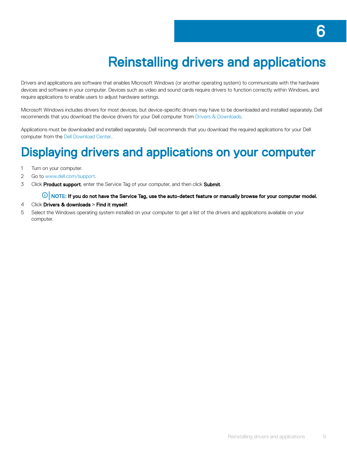# Reinstalling drivers and applications

<span id="page-8-0"></span>Drivers and applications are software that enables Microsoft Windows (or another operating system) to communicate with the hardware devices and software in your computer. Devices such as video and sound cards require drivers to function correctly within Windows, and require applications to enable users to adjust hardware settings.

Microsoft Windows includes drivers for most devices, but device-specific drivers may have to be downloaded and installed separately. Dell recommends that you download the device drivers for your Dell computer from [Drivers & Downloads.](http://www.dell.com/support/home/us/en/04?app=drivers)

Applications must be downloaded and installed separately. Dell recommends that you download the required applications for your Dell computer from the [Dell Download Center.](http://www.dell.com/support/contents/us/en/19/category/product-support/self-support-knowledgebase/software-and-downloads/download-center/)

### Displaying drivers and applications on your computer

- 1 Turn on your computer.
- 2 Go to [www.dell.com/support.](http://www.dell.com/support/)
- 3 Click Product support, enter the Service Tag of your computer, and then click Submit.

 $\bigcirc|$  NOTE: If you do not have the Service Tag, use the auto-detect feature or manually browse for your computer model.

- 4 Click Drivers & downloads **>** Find it myself.
- 5 Select the Windows operating system installed on your computer to get a list of the drivers and applications available on your computer.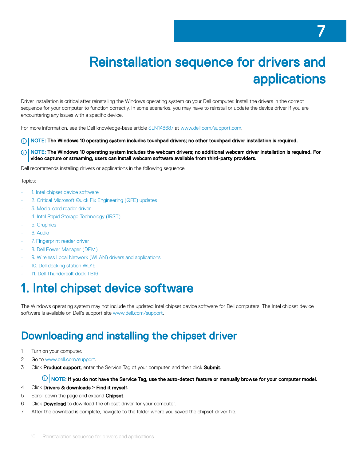# Reinstallation sequence for drivers and applications

<span id="page-9-0"></span>Driver installation is critical after reinstalling the Windows operating system on your Dell computer. Install the drivers in the correct sequence for your computer to function correctly. In some scenarios, you may have to reinstall or update the device driver if you are encountering any issues with a specific device.

For more information, see the Dell knowledge-base article [SLN148687](http://www.dell.com/support/article/SLN148687/en) at [www.dell.com/support.com.](https://www.dell.com/support.com)

- (i) | NOTE: The Windows 10 operating system includes touchpad drivers; no other touchpad driver installation is required.
- നി NOTE: The Windows 10 operating system includes the webcam drivers; no additional webcam driver installation is required. For video capture or streaming, users can install webcam software available from third-party providers.

Dell recommends installing drivers or applications in the following sequence.

#### Topics:

- 1. Intel chipset device software
- [2. Critical Microsoft Quick Fix Engineering \(QFE\) updates](#page-10-0)
- [3. Media-card reader driver](#page-10-0)
- [4. Intel Rapid Storage Technology \(IRST\)](#page-10-0)
- [5. Graphics](#page-11-0)
- [6. Audio](#page-11-0)
- [7. Fingerprint reader driver](#page-11-0)
- [8. Dell Power Manager \(DPM\)](#page-12-0)
- [9. Wireless Local Network \(WLAN\) drivers and applications](#page-12-0)
- [10. Dell docking station WD15](#page-12-0)
- [11. Dell Thunderbolt dock TB16](#page-13-0)

### 1. Intel chipset device software

The Windows operating system may not include the updated Intel chipset device software for Dell computers. The Intel chipset device software is available on Dell's support site [www.dell.com/support](http://www.dell.com/support).

### Downloading and installing the chipset driver

- 1 Turn on your computer.
- 2 Go to [www.dell.com/support.](http://www.dell.com/support)
- 3 Click **Product support**, enter the Service Tag of your computer, and then click **Submit**.

#### $\bigcirc|$  NOTE: If you do not have the Service Tag, use the auto-detect feature or manually browse for your computer model.

- 4 Click Drivers & downloads **>** Find it myself.
- 5 Scroll down the page and expand Chipset.
- 6 Click Download to download the chipset driver for your computer.
- 7 After the download is complete, navigate to the folder where you saved the chipset driver file.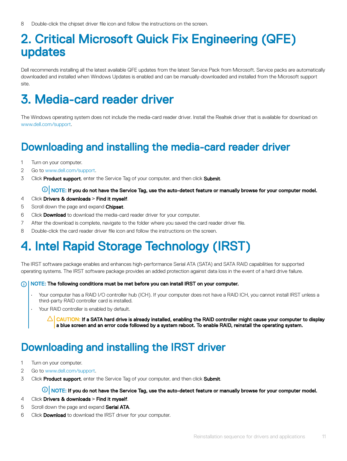### <span id="page-10-0"></span>2. Critical Microsoft Quick Fix Engineering (QFE) updates

Dell recommends installing all the latest available QFE updates from the latest Service Pack from Microsoft. Service packs are automatically downloaded and installed when Windows Updates is enabled and can be manually-downloaded and installed from the Microsoft support site.

## 3. Media-card reader driver

The Windows operating system does not include the media-card reader driver. Install the Realtek driver that is available for download on [www.dell.com/support.](http://www.dell.com/support)

### Downloading and installing the media-card reader driver

- 1 Turn on your computer.
- 2 Go to [www.dell.com/support.](http://www.dell.com/support)
- 3 Click **Product support**, enter the Service Tag of your computer, and then click **Submit**.

#### $\textcircled{\scriptsize{1}}$  NOTE: If you do not have the Service Tag, use the auto-detect feature or manually browse for your computer model.

- 4 Click Drivers & downloads **>** Find it myself.
- 5 Scroll down the page and expand Chipset.
- 6 Click **Download** to download the media-card reader driver for your computer.
- 7 After the download is complete, navigate to the folder where you saved the card reader driver file.
- 8 Double-click the card reader driver file icon and follow the instructions on the screen.

## 4. Intel Rapid Storage Technology (IRST)

The IRST software package enables and enhances high-performance Serial ATA (SATA) and SATA RAID capabilities for supported operating systems. The IRST software package provides an added protection against data loss in the event of a hard drive failure.

#### NOTE: The following conditions must be met before you can install IRST on your computer.

- Your computer has a RAID I/O controller hub (ICH). If your computer does not have a RAID ICH, you cannot install IRST unless a third-party RAID controller card is installed.
- Your RAID controller is enabled by default.

 $\triangle|$  CAUTION: If a SATA hard drive is already installed, enabling the RAID controller might cause your computer to display a blue screen and an error code followed by a system reboot. To enable RAID, reinstall the operating system.

### Downloading and installing the IRST driver

- 1 Turn on your computer.
- 2 Go to [www.dell.com/support.](http://www.dell.com/support/)
- 3 Click Product support, enter the Service Tag of your computer, and then click Submit.

#### $\mathbb O|$  NOTE: If you do not have the Service Tag, use the auto-detect feature or manually browse for your computer model.

- 4 Click Drivers & downloads **>** Find it myself.
- 5 Scroll down the page and expand **Serial ATA**.
- 6 Click **Download** to download the IRST driver for your computer.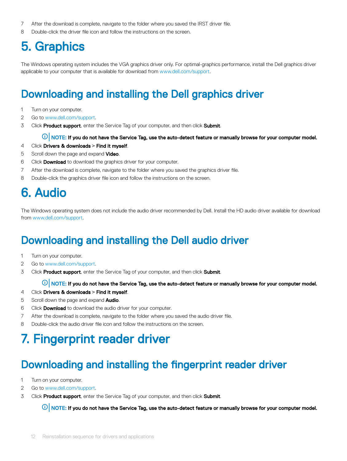- <span id="page-11-0"></span>7 After the download is complete, navigate to the folder where you saved the IRST driver file.
- 8 Double-click the driver file icon and follow the instructions on the screen.

## 5. Graphics

The Windows operating system includes the VGA graphics driver only. For optimal-graphics performance, install the Dell graphics driver applicable to your computer that is available for download from [www.dell.com/support](http://www.dell.com/support).

### Downloading and installing the Dell graphics driver

- 1 Turn on your computer.
- 2 Go to [www.dell.com/support.](http://www.dell.com/support/)
- 3 Click **Product support**, enter the Service Tag of your computer, and then click **Submit**.

#### $\circled{0}$  NOTE: If you do not have the Service Tag, use the auto-detect feature or manually browse for your computer model.

- 4 Click Drivers & downloads **>** Find it myself.
- 5 Scroll down the page and expand **Video**.
- 6 Click Download to download the graphics driver for your computer.
- 7 After the download is complete, navigate to the folder where you saved the graphics driver file.
- 8 Double-click the graphics driver file icon and follow the instructions on the screen.

### 6. Audio

The Windows operating system does not include the audio driver recommended by Dell. Install the HD audio driver available for download from [www.dell.com/support.](http://www.dell.com/support)

### Downloading and installing the Dell audio driver

- 1 Turn on your computer.
- 2 Go to [www.dell.com/support.](http://www.dell.com/support)
- 3 Click **Product support**, enter the Service Tag of your computer, and then click **Submit.**

#### $\bigcirc|$  NOTE: If you do not have the Service Tag, use the auto-detect feature or manually browse for your computer model.

- 4 Click Drivers & downloads **>** Find it myself.
- 5 Scroll down the page and expand **Audio**.
- 6 Click **Download** to download the audio driver for your computer.
- 7 After the download is complete, navigate to the folder where you saved the audio driver file.
- 8 Double-click the audio driver file icon and follow the instructions on the screen.

## 7. Fingerprint reader driver

### Downloading and installing the fingerprint reader driver

- 1 Turn on your computer.
- 2 Go to [www.dell.com/support.](http://www.dell.com/support)
- 3 Click **Product support**, enter the Service Tag of your computer, and then click **Submit**.

 $\bigcirc$  NOTE: If you do not have the Service Tag, use the auto-detect feature or manually browse for your computer model.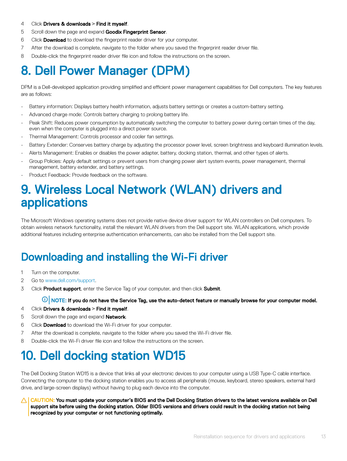- <span id="page-12-0"></span>4 Click Drivers & downloads **>** Find it myself.
- 5 Scroll down the page and expand Goodix Fingerprint Sensor.
- 6 Click **Download** to download the fingerprint reader driver for your computer.
- 7 After the download is complete, navigate to the folder where you saved the fingerprint reader driver file.
- 8 Double-click the fingerprint reader driver file icon and follow the instructions on the screen.

# 8. Dell Power Manager (DPM)

DPM is a Dell-developed application providing simplified and efficient power management capabilities for Dell computers. The key features are as follows:

- Battery information: Displays battery health information, adjusts battery settings or creates a custom-battery setting.
- Advanced charge mode: Controls battery charging to prolong battery life.
- Peak Shift: Reduces power consumption by automatically switching the computer to battery power during certain times of the day, even when the computer is plugged into a direct power source.
- Thermal Management: Controls processor and cooler fan settings.
- Battery Extender: Conserves battery charge by adjusting the processor power level, screen brightness and keyboard illumination levels.
- Alerts Management: Enables or disables the power adapter, battery, docking station, thermal, and other types of alerts.
- Group Policies: Apply default settings or prevent users from changing power alert system events, power management, thermal management, battery extender, and battery settings.
- Product Feedback: Provide feedback on the software.

### 9. Wireless Local Network (WLAN) drivers and applications

The Microsoft Windows operating systems does not provide native device driver support for WLAN controllers on Dell computers. To obtain wireless network functionality, install the relevant WLAN drivers from the Dell support site. WLAN applications, which provide additional features including enterprise authentication enhancements, can also be installed from the Dell support site.

### Downloading and installing the Wi-Fi driver

- 1 Turn on the computer.
- 2 Go to [www.dell.com/support.](http://www.dell.com/support)
- 3 Click **Product support**, enter the Service Tag of your computer, and then click **Submit**.

 $\circled{0}$  NOTE: If you do not have the Service Tag, use the auto-detect feature or manually browse for your computer model.

- 4 Click Drivers & downloads **>** Find it myself.
- 5 Scroll down the page and expand **Network**.
- 6 Click Download to download the Wi-Fi driver for your computer.
- 7 After the download is complete, navigate to the folder where you saved the Wi-Fi driver file.
- 8 Double-click the Wi-Fi driver file icon and follow the instructions on the screen.

## 10. Dell docking station WD15

The Dell Docking Station WD15 is a device that links all your electronic devices to your computer using a USB Type-C cable interface. Connecting the computer to the docking station enables you to access all peripherals (mouse, keyboard, stereo speakers, external hard drive, and large-screen displays) without having to plug each device into the computer.

CAUTION: You must update your computer's BIOS and the Dell Docking Station drivers to the latest versions available on Dell support site before using the docking station. Older BIOS versions and drivers could result in the docking station not being recognized by your computer or not functioning optimally.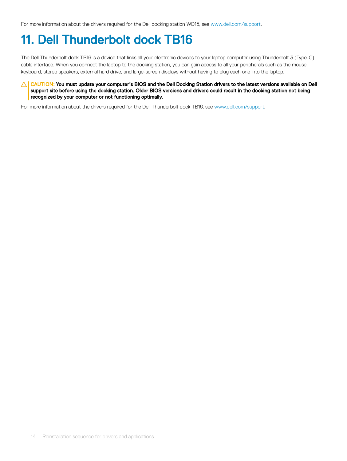<span id="page-13-0"></span>For more information about the drivers required for the Dell docking station WD15, see [www.dell.com/support.](http://www.dell.com/support/home/us/en/19/product-support/product/dell-dock-wd15/manuals)

## 11. Dell Thunderbolt dock TB16

The Dell Thunderbolt dock TB16 is a device that links all your electronic devices to your laptop computer using Thunderbolt 3 (Type-C) cable interface. When you connect the laptop to the docking station, you can gain access to all your peripherals such as the mouse, keyboard, stereo speakers, external hard drive, and large-screen displays without having to plug each one into the laptop.

#### △ CAUTION: You must update your computer's BIOS and the Dell Docking Station drivers to the latest versions available on Dell support site before using the docking station. Older BIOS versions and drivers could result in the docking station not being recognized by your computer or not functioning optimally.

For more information about the drivers required for the Dell Thunderbolt dock TB16, see [www.dell.com/support.](http://www.dell.com/support/home/us/en/19/product-support/product/dell-thunderbolt-dock-tb16/manuals)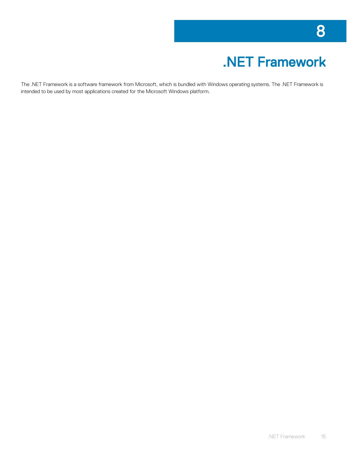# .NET Framework

<span id="page-14-0"></span>The .NET Framework is a software framework from Microsoft, which is bundled with Windows operating systems. The .NET Framework is intended to be used by most applications created for the Microsoft Windows platform.